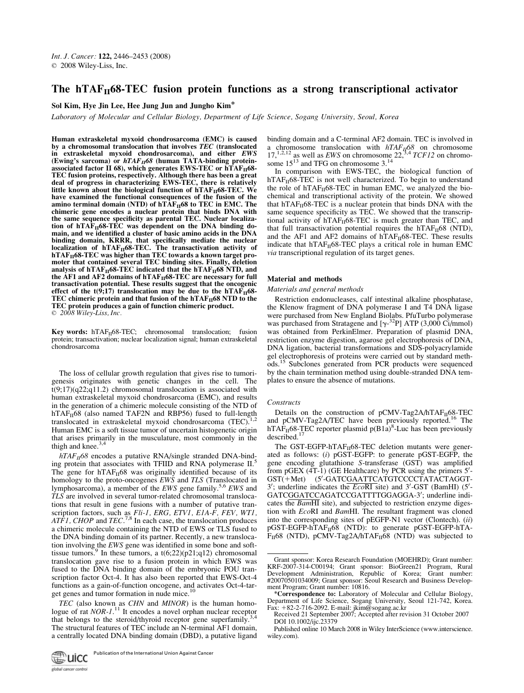# The hTAF $_{II}$ 68-TEC fusion protein functions as a strong transcriptional activator

Sol Kim, Hye Jin Lee, Hee Jung Jun and Jungho Kim\*

Laboratory of Molecular and Cellular Biology, Department of Life Science, Sogang University, Seoul, Korea

Human extraskeletal myxoid chondrosarcoma (EMC) is caused by a chromosomal translocation that involves TEC (translocated in extraskeletal myxoid chondrosarcoma), and either EWS (Ewing's sarcoma) or  $hTAF_{II}68$  (human TATA-binding proteinassociated factor II 68), which generates EWS-TEC or  $\widehat{\text{hT}}\text{AF}_{\text{II}}$ 68-TEC fusion proteins, respectively. Although there has been a great deal of progress in characterizing EWS-TEC, there is relatively little known about the biological function of  $hTAF_{II}68-TEC$ . We have examined the functional consequences of the fusion of the amino terminal domain (NTD) of  $h\overline{T}A\overline{F}_{II}68$  to TEC in EMC. The chimeric gene encodes a nuclear protein that binds DNA with the same sequence specificity as parental TEC. Nuclear localization of  $hTAF_{II}68-TEC$  was dependent on the DNA binding domain, and we identified a cluster of basic amino acids in the DNA binding domain, KRRR, that specifically mediate the nuclear localization of hTAF $_{\rm II}$ 68-TEC. The transactivation activity of hTAF<sub>II</sub>68-TEC was higher than TEC towards a known target promoter that contained several TEC binding sites. Finally, deletion analysis of hTAF $_{II}$ 68-TEC indicated that the hTAF $_{II}$ 68 NTD, and the  $\rm AF1$  and  $\rm AF2$  domains of hTAF $_{\rm II}$ 68-TEC are necessary for full transactivation potential. These results suggest that the oncogenic effect of the t(9;17) translocation may be due to the  $hTAF_{II}68-$ TEC chimeric protein and that fusion of the hTAF $_{\rm II}$ 68 NTD to the TEC protein produces a gain of function chimeric product.  $\odot$  2008 Wiley-Liss, Inc.

**Key words:** hTAF $_{II}$ 68-TEC; chromosomal translocation; fusion protein; transactivation; nuclear localization signal; human extraskeletal chondrosarcoma

The loss of cellular growth regulation that gives rise to tumorigenesis originates with genetic changes in the cell. The  $t(9;17)(q22;q11.2)$  chromosomal translocation is associated with human extraskeletal myxoid chondrosarcoma (EMC), and results in the generation of a chimeric molecule consisting of the NTD of  $hTAF<sub>II</sub>68$  (also named TAF2N and RBP56) fused to full-length translocated in extraskeletal myxoid chondrosarcoma  $(TEC)^{1}$ Human EMC is a soft tissue tumor of uncertain histogenetic origin that arises primarily in the musculature, most commonly in the thigh and knee. $3,4$ 

 $hTAF_{II}$ 68 encodes a putative RNA/single stranded DNA-binding protein that associates with TFIID and RNA polymerase II.<sup>5</sup> The gene for  $hTAF_{II}68$  was originally identified because of its homology to the proto-oncogenes EWS and TLS (Translocated in lymphosarcoma), a member of the EWS gene family.5,6 EWS and TLS are involved in several tumor-related chromosomal translocations that result in gene fusions with a number of putative transcription factors, such as Fli-1, ERG, ETV1, E1A-F, FEV, WT1,  $ATF1$ , CHOP and TEC.<sup>7,8</sup> In each case, the translocation produces a chimeric molecule containing the NTD of EWS or TLS fused to the DNA binding domain of its partner. Recently, a new translocation involving the EWS gene was identified in some bone and softtissue tumors.<sup>9</sup> In these tumors, a  $t(6;22)(p21;q12)$  chromosomal translocation gave rise to a fusion protein in which EWS was fused to the DNA binding domain of the embryonic POU transcription factor Oct-4. It has also been reported that EWS-Oct-4 functions as a gain-of-function oncogene, and activates Oct-4-target genes and tumor formation in nude mice.<sup>10</sup>

TEC (also known as CHN and MINOR) is the human homologue of rat NOR-1.<sup>11</sup> It encodes a novel orphan nuclear receptor that belongs to the steroid/thyroid receptor gene superfamily.<sup>3</sup> The structural features of TEC include an N-terminal AF1 domain, a centrally located DNA binding domain (DBD), a putative ligand binding domain and a C-terminal AF2 domain. TEC is involved in a chromosome translocation with  $hTAF_{10}68$  on chromosome 17,<sup>1,2,12</sup> as well as *EWS* on chromosome 22,<sup>3,4</sup> *TCF12* on chromosome  $15^{13}$  and TFG on chromosome 3.<sup>14</sup>

In comparison with EWS-TEC, the biological function of  $hTAF_{II}68-TEC$  is not well characterized. To begin to understand the role of hTAF $_{II}$ 68-TEC in human EMC, we analyzed the biochemical and transcriptional activity of the protein. We showed that hTAF $_{II}$ 68-TEC is a nuclear protein that binds DNA with the same sequence specificity as TEC. We showed that the transcriptional activity of  $hTAF_{II}68-TEC$  is much greater than TEC, and that full transactivation potential requires the hTAF $_{II}$ 68 (NTD), and the AF1 and AF2 domains of  $\hat{n}TAF_{II}68-TEC$ . These results indicate that  $hTAF<sub>II</sub>68-TEC$  plays a critical role in human EMC via transcriptional regulation of its target genes.

# Material and methods

# Materials and general methods

Restriction endonucleases, calf intestinal alkaline phosphatase, the Klenow fragment of DNA polymerase I and T4 DNA ligase were purchased from New England Biolabs. PfuTurbo polymerase was purchased from Stratagene and  $[\gamma^{-32}P]$  ATP (3,000 Ci/mmol)<br>was obtained from PerkinElmer. Preparation of plasmid DNA. was obtained from PerkinElmer. Preparation of plasmid DNA, restriction enzyme digestion, agarose gel electrophoresis of DNA, DNA ligation, bacterial transformations and SDS-polyacrylamide gel electrophoresis of proteins were carried out by standard methods.<sup>15</sup> Subclones generated from PCR products were sequenced by the chain termination method using double-stranded DNA templates to ensure the absence of mutations.

#### **Constructs**

Details on the construction of pCMV-Tag2A/hTAF $_H$ 68-TEC and pCMV-Tag2A/TEC have been previously reported.<sup>16</sup> The  $hTAF<sub>H</sub>68-TEC$  reporter plasmid  $p(B1a)^8$ -Luc has been previously described.<sup>17</sup>

The GST-EGFP-hTAF $_{II}$ 68-TEC deletion mutants were generated as follows: (i) pGST-EGFP: to generate pGST-EGFP, the gene encoding glutathione S-transferase (GST) was amplified from pGEX  $(4T-1)$  (GE Healthcare) by PCR using the primers  $5'$ -GST(+Met) (5'-GATCGAATTCATGTCCCCTATACTAGGT-<br>3': underline indicates the *Eco*RL site) and 3'-GST (BamHI) (5'- $3'$ ; underline indicates the  $EcoRI$  site) and  $3'$ -GST (BamHI) ( $5'$ -GATCGGATCCAGATCCGATTTTGGAGGA-3'; underline indicates the BamHI site), and subjected to restriction enzyme digestion with EcoRI and BamHI. The resultant fragment was cloned into the corresponding sites of pEGFP-N1 vector (Clontech). (ii) pGST-EGFP-hTAF<sub>II</sub>68 (NTD): to generate pGST-EGFP-hTA- $F_{II}$ 68 (NTD), pCMV-Tag2A/hTA $F_{II}$ 68 (NTD) was subjected to

Received 21 September 2007; Accepted after revision 31 October 2007 DOI 10.1002/ijc.23379

Grant sponsor: Korea Research Foundation (MOEHRD); Grant number: KRF-2007-314-C00194; Grant sponsor: BioGreen21 Program, Rural Development Administration, Republic of Korea; Grant number: #20070501034009; Grant sponsor: Seoul Research and Business Development Program; Grant number: 10816.

<sup>\*</sup>Correspondence to: Laboratory of Molecular and Cellular Biology, Department of Life Science, Sogang University, Seoul 121-742, Korea. Fax:  $+82-2-716-2092$ . E-mail: jkim@sogang.ac.kr

Published online 10 March 2008 in Wiley InterScience (www.interscience. wiley.com).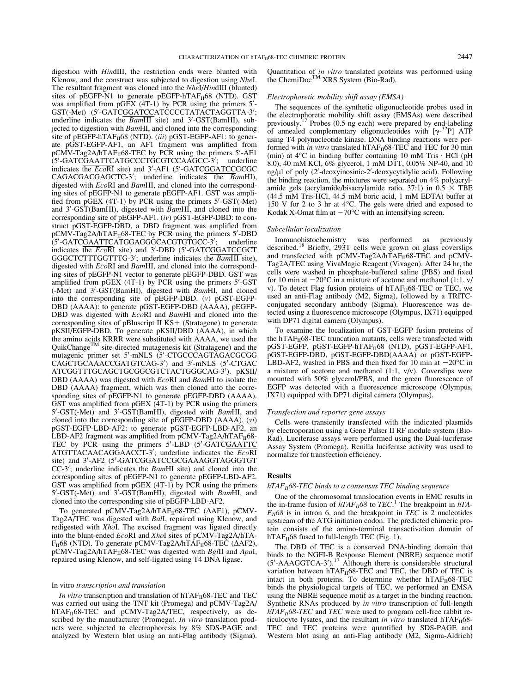digestion with HindIII, the restriction ends were blunted with Klenow, and the construct was subjected to digestion using NheI. The resultant fragment was cloned into the NheI/HindIII (blunted) sites of pEGFP-N1 to generate pEGFP-hTAF $_{II}$ 68 (NTD). GST was amplified from pGEX  $(4T-1)$  by PCR using the primers  $5'$ -GST(-Met) (5'-GATCGGATCCATCCCCTATACTAGGTTA-3'; underline indicates the  $BamHI$  site) and  $3'$ -GST(BamHI), subjected to digestion with BamHI, and cloned into the corresponding site of pEGFP-hTAF $_{II}$ 68 (NTD). (iii) pGST-EGFP-AF1: to generate pGST-EGFP-AF1, an AF1 fragment was amplified from  $pCMV-Tag2A/hTAF<sub>II</sub>68-TEC$  by PCR using the primers  $5'$ -AF1 (5'-GATCGAATTCATGCCCTGCGTCCAAGCC-3'; underline indicates the  $EcoRI$  site) and  $3'$ -AF1 ( $5'$ -GATCGGATCCGCGC  $CAGACGACGAGCTC-3'$ ; underline indicates the  $\overline{BamHI}$ ), digested with EcoRI and BamHI, and cloned into the corresponding sites of pEGFP-N1 to generate pEGFP-AF1. GST was amplified from pGEX  $(4T-1)$  by PCR using the primers  $5'$ -GST(-Met) and 3'-GST(BamHI), digested with BamHI, and cloned into the corresponding site of pEGFP-AF1. (iv) pGST-EGFP-DBD: to construct pGST-EGFP-DBD, a DBD fragment was amplified from  $pCMV-Tag2A/hTAF<sub>II</sub>68-TEC$  by PCR using the primers 5'-DBD (5'-GATCGAATTCATGGAGGCACGTGTGCC-3' underline indicates the  $EcoRI$  site) and  $3'$ -DBD ( $5'$ -GATCGGATCCGCT GGGCTCTTTGGTTTG-3'; underline indicates the BamHI site), digested with EcoRI and BamHI, and cloned into the corresponding sites of pEGFP-N1 vector to generate pEGFP-DBD. GST was amplified from  $pGEX$  (4T-1) by PCR using the primers  $5'$ -GST (-Met) and 3'-GST(BamHI), digested with BamHI, and cloned into the corresponding site of pEGFP-DBD. (v) pGST-EGFP-DBD (AAAA): to generate pGST-EGFP-DBD (AAAA), pEGFP-DBD was digested with  $EcoRI$  and  $BamHI$  and cloned into the corresponding sites of pBluscript II  $KS+$  (Stratagene) to generate corresponding sites of pBluscript II KS+ (Stratagene) to generate<br>pKSII/EGFP-DBD. To generate pKSII/DBD (AAAA), in which the amino acids KRRR were substituted with AAAA, we used the QuikChange<sup>TM</sup> site-directed mutagenesis kit (Stratagene) and the mutagenic primer set 5'-mNLS (5'-CTGCCCAGTAGACGCGG CAGCTGCAAACCGATGTCAG-3') and 3'-mNLS (5'-CTGAC ATCGGTTTGCAGCTGCGGCGTCTACTGGGCAG-3'). pKSII/ DBD (AAAA) was digested with *EcoRI* and *BamHI* to isolate the DBD (AAAA) fragment, which was then cloned into the corresponding sites of pEGFP-N1 to generate pEGFP-DBD (AAAA).

GST was amplified from pGEX (4T-1) by PCR using the primers 5'-GST(-Met) and 3'-GST(BamHI), digested with BamHI, and cloned into the corresponding site of pEGFP-DBD (AAAA). (vi) pGST-EGFP-LBD-AF2: to generate pGST-EGFP-LBD-AF2, an LBD-AF2 fragment was amplified from pCMV-Tag2A/hTAF $_{II}$ 68-TEC by PCR using the primers  $5'$ -LBD  $(5'$ -GATCGAATTC  $ATGTTACAACGAACCT-3'$ ; underline indicates the  $EcoRI$ site) and 3'-AF2 (5'-GATCGGATCCGCGAAAGGTAGGGTGT  $CC-3'$ ; underline indicates the *BamHI* site) and cloned into the corresponding sites of pEGFP-N1 to generate pEGFP-LBD-AF2. GST was amplified from pGEX (4T-1) by PCR using the primers 5'-GST(-Met) and 3'-GST(BamHI), digested with BamHI, and cloned into the corresponding site of pEGFP-LBD-AF2.

To generated pCMV-Tag2A/hTAF $_{II}$ 68-TEC ( $\triangle$ AF1), pCMV-Tag2A/TEC was digested with BalI, repaired using Klenow, and redigested with XhoI. The excised fragment was ligated directly into the blunt-ended EcoRI and XhoI sites of pCMV-Tag2A/hTA- $F_{II}$ 68 (NTD). To generate pCMV-Tag2A/hTA $F_{II}$ 68-TEC ( $\Delta$ AF2),  $pCMV-Tag2A/hTAF_H68-TEC$  was digested with  $Bg/II$  and  $ApaI$ , repaired using Klenow, and self-ligated using T4 DNA ligase.

## In vitro transcription and translation

In vitro transcription and translation of  $hTAF_{II}68-TEC$  and TEC was carried out using the TNT kit (Promega) and pCMV-Tag2A/  $hTAF_{II}$ 68-TEC and pCMV-Tag2A/TEC, respectively, as described by the manufacturer (Promega). In vitro translation products were subjected to electrophoresis by 8% SDS-PAGE and analyzed by Western blot using an anti-Flag antibody (Sigma). Quantitation of in vitro translated proteins was performed using the ChemiDoc<sup>TM</sup> XRS System (Bio-Rad).

# Electrophoretic mobility shift assay (EMSA)

The sequences of the synthetic oligonucleotide probes used in the electrophoretic mobility shift assay (EMSAs) were described previously.<sup>17</sup> Probes (0.5 ng each) were prepared by end-labeling of annealed complementary oligonucleotides with  $[\gamma^{32}P]$  ATP<br>using T4 polynucleotide kinase. DNA binding reactions were perusing T4 polynucleotide kinase. DNA binding reactions were performed with in vitro translated hTAF $_H$ 68-TEC and TEC for 30 min (min) at  $4^{\circ}$ C in binding buffer containing 10 mM Tris  $\cdot$  HCl (pH 8.0), 40 mM KCl, 6% glycerol, 1 mM DTT, 0.05% NP-40, and 10 ng/µl of poly (2'-deoxyinosinic-2'-deoxycytidylic acid). Following the binding reaction, the mixtures were separated on 4% polyacrylamide gels (acrylamide/bisacrylamide ratio. 37:1) in  $0.5 \times$  TBE (44.5 mM Tris-HCl, 44.5 mM boric acid, 1 mM EDTA) buffer at 150 V for 2 to 3 hr at  $4^{\circ}$ C. The gels were dried and exposed to Kodak X-Omat film at  $-70^{\circ}$ C with an intensifying screen.

# Subcellular localization

Immunohistochemistry was performed as previously described.<sup>18</sup> Briefly, 293T cells were grown on glass coverslips and transfected with pCMV-Tag2A/hTAF $_H$ 68-TEC and pCMV-Tag2A/TEC using VivaMagic Reagent (Vivagen). After 24 hr, the cells were washed in phosphate-buffered saline (PBS) and fixed for 10 min at  $-20^{\circ}$ C in a mixture of acetone and methanol (1:1, v/ v). To detect Flag fusion proteins of  $hTAF_{II}68-TEC$  or TEC, we used an anti-Flag antibody (M2, Sigma), followed by a TRITCconjugated secondary antibody (Sigma). Fluorescence was detected using a fluorescence microscope (Olympus, IX71) equipped with DP71 digital camera (Olympus).

To examine the localization of GST-EGFP fusion proteins of the hTAF $_{II}$ 68-TEC truncation mutants, cells were transfected with pGST-EGFP, pGST-EGFP-hTAF<sub>II</sub>68 (NTD), pGST-EGFP-AF1, pGST-EGFP-DBD, pGST-EGFP-DBD(AAAA) or pGST-EGFP-LBD-AF2, washed in PBS and then fixed for 10 min at  $-20^{\circ}$ C in a mixture of acetone and methanol  $(1:1, v/v)$ . Coverslips were mounted with 50% glycerol/PBS, and the green fluorescence of EGFP was detected with a fluorescence microscope (Olympus, IX71) equipped with DP71 digital camera (Olympus).

#### Transfection and reporter gene assays

Cells were transiently transfected with the indicated plasmids by electroporation using a Gene Pulser II RF module system (Bio-Rad). Luciferase assays were performed using the Dual-luciferase Assay System (Promega). Renilla luciferase activity was used to normalize for transfection efficiency.

## Results

#### $hTAF_{II}$ 68-TEC binds to a consensus TEC binding sequence

One of the chromosomal translocation events in EMC results in the in-frame fusion of  $hTAF_H68$  to  $TEC<sup>1</sup>$ . The breakpoint in  $hTA F_{II}$ 68 is in intron 6, and the breakpoint in TEC is 2 nucleotides upstream of the ATG initiation codon. The predicted chimeric protein consists of the amino-terminal transactivation domain of hTAF $_{II}$ 68 fused to full-length TEC (Fig. 1).

The DBD of TEC is a conserved DNA-binding domain that binds to the NGFI-B Response Element (NBRE) sequence motif  $(5'$ -AAAGGTCA-3').<sup>17</sup> Although there is considerable structural variation between hTAF $_H$ 68-TEC and TEC, the DBD of TEC is intact in both proteins. To determine whether  $hTAF_{II}68-TEC$ binds the physiological targets of TEC, we performed an EMSA using the NBRE sequence motif as a target in the binding reaction. Synthetic RNAs produced by in vitro transcription of full-length  $hTAF_{II}$ 68-TEC and TEC were used to program cell-free rabbit reticulocyte lysates, and the resultant in vitro translated  $h_{\text{TA}}F_{\text{II}}68$ -TEC and TEC proteins were quantified by SDS-PAGE and Western blot using an anti-Flag antibody (M2, Sigma-Aldrich)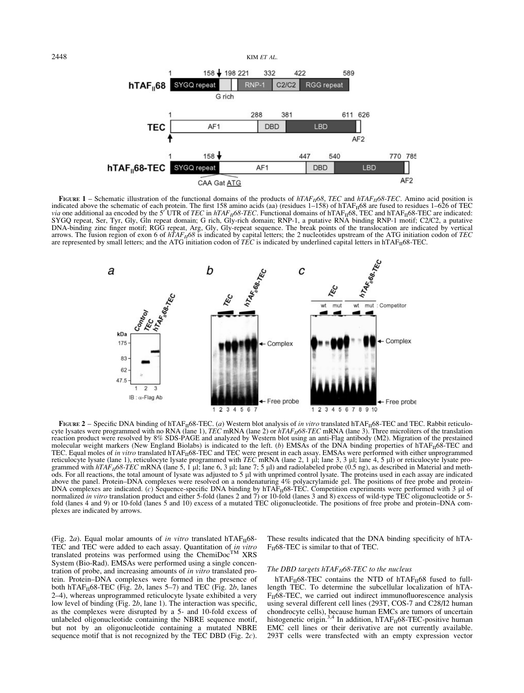2448 KIM ET AL.158 + 198 221 332 422 589 SYGQ repeat C2/C2 RGG repeat  $hTAF<sub>0</sub>68$ RNP-G rich 288 381 611 626 AF<sub>1</sub> LBD TEC **DBD** AF<sub>2</sub>  $158 -$ 770 785 447 540  $hTAF_{\parallel}68-TEC$ LBD SYGQ repeat AF1 DBD AF<sub>2</sub> CAA Gat ATG

FIGURE 1 – Schematic illustration of the functional domains of the products of  $hTAF_{II}68$ , TEC and  $hTAF_{II}68$ -TEC. Amino acid position is indicated above the schematic of each protein. The first 158 amino acids (aa) (residues 1–158) of hTAF<sub>II</sub>68 are fused to residues 1–626 of TEC via one additional aa encoded by the 5' UTR of *TEC* in hTAF<sub>II</sub>68-TEC. Functional domains of hTAF<sub>II</sub>68, TEC and hTAF<sub>II</sub>68-TEC are indicated:<br>SYGQ repeat, Ser, Tyr, Gly, Gln repeat domain; G rich, Gly-rich domain; RNP-1, DNA-binding zinc finger motif; RGG repeat, Arg, Gly, Gly-repeat sequence. The break points of the translocation are indicated by vertical arrows. The fusion region of exon 6 of  $hTAF_{II}$ 68 is indicated by capital letters; the 2 nucleotides upstream of the ATG initiation codon of TEC are represented by small letters; and the ATG initiation codon of  $T\bar{E}C$  is indicated by underlined capital letters in hTAF $_{II}$ 68-TEC.



FIGURE 2 – Specific DNA binding of hTAF $_{II}$ 68-TEC. (a) Western blot analysis of in vitro translated hTAF $_{II}$ 68-TEC and TEC. Rabbit reticulocyte lysates were programmed with no RNA (lane 1),  $TEC$  mRNA (lane 2) or  $hTAF_B\delta8-TEC$  mRNA (lane 3). Three microliters of the translation reaction product were resolved by 8% SDS-PAGE and analyzed by Western blot using an anti-Flag antibody (M2). Migration of the prestained molecular weight markers (New England Biolabs) is indicated to the left. (b) EMSAs of the DNA binding properties of hTAF $_{II}$ 68-TEC and TEC. Equal moles of in vitro translated hTAF<sub>II</sub>68-TEC and TEC were present in each assay. EMSAs were performed with either unprogrammed reticulocyte lysate (lane 1), reticulocyte lysate programmed with TEC mRNA (lane 2, 1 µl; lane 3, 3 µl; lane 4, 5 µl) or reticulocyte lysate programmed with  $hTAF_{II}68\text{-}TEC$  mRNA (lane 5, 1 µl; lane 6, 3 µl; lane 7; 5 µl) and radiolabeled probe (0.5 ng), as described in Material and meth-<br>ods. For all reactions, the total amount of lysate was adjusted to 5 µl wit above the panel. Protein–DNA complexes were resolved on a nondenaturing 4% polyacrylamide gel. The positions of free probe and protein-DNA complexes are indicated. (c) Sequence-specific DNA binding by  $hTAF_{II}68-TEC$ . Competition experiments were performed with 3  $\mu$ l of normalized in vitro translation product and either 5-fold (lanes 2 and 7) or 10-fold (lanes 3 and 8) excess of wild-type TEC oligonucleotide or 5fold (lanes 4 and 9) or 10-fold (lanes 5 and 10) excess of a mutated TEC oligonucleotide. The positions of free probe and protein–DNA complexes are indicated by arrows.

(Fig. 2a). Equal molar amounts of in vitro translated hTAF $_{II}$ 68-TEC and TEC were added to each assay. Quantitation of *in vitro* translated proteins was performed using the ChemiDoc<sup>TM</sup> XRS System (Bio-Rad). EMSAs were performed using a single concentration of probe, and increasing amounts of in vitro translated protein. Protein–DNA complexes were formed in the presence of both hTAF $_{II}$ 68-TEC (Fig. 2b, lanes 5–7) and TEC (Fig. 2b, lanes 2–4), whereas unprogrammed reticulocyte lysate exhibited a very low level of binding (Fig. 2b, lane 1). The interaction was specific, as the complexes were disrupted by a 5- and 10-fold excess of unlabeled oligonucleotide containing the NBRE sequence motif, but not by an oligonucleotide containing a mutated NBRE sequence motif that is not recognized by the TEC DBD (Fig. 2c).

These results indicated that the DNA binding specificity of hTA- $F_{II}$ 68-TEC is similar to that of TEC.

# The DBD targets  $hTAF_{II}$ 68-TEC to the nucleus

hTAF $_{II}$ 68-TEC contains the NTD of hTAF $_{II}$ 68 fused to fulllength TEC. To determine the subcellular localization of hTA- $F_{II}$ 68-TEC, we carried out indirect immunofluorescence analysis using several different cell lines (293T, COS-7 and C28/I2 human chondrocyte cells), because human EMCs are tumors of uncertain histogenetic origin.<sup>3,4</sup> In addition, hTAF<sub>II</sub>68-TEC-positive human EMC cell lines or their derivative are not currently available. 293T cells were transfected with an empty expression vector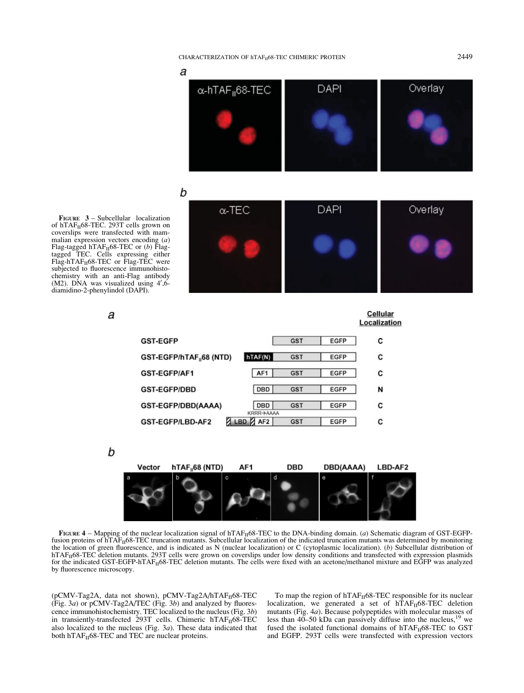# CHARACTERIZATION OF hTAF<sub>11</sub>68-TEC CHIMERIC PROTEIN 2449

а

FIGURE 3 – Subcellular localization of hTAF<sub>II</sub>68-TEC. 293T cells grown on coverslips were transfected with mammalian expression vectors encoding  $(a)$ Flag-tagged hTAF<sub>II</sub>68-TEC or (b) Flag-<br>tagged TEC. Cells expressing either Flag-hTAF<sub>II</sub>68-TEC or Flag-TEC were subjected to fluorescence immunohistochemistry with an anti-Flag antibody  $(M2)$ . DNA was visualized using 4',6diamidino-2-phenylindol (DAPI).

a

|   | $\alpha$ -hTAF <sub>II</sub> 68-TEC | DAPI | Overlay |
|---|-------------------------------------|------|---------|
|   |                                     |      |         |
| b |                                     |      |         |
|   |                                     |      |         |
|   | $\alpha$ -TEC                       | DAPI | Overlay |
|   |                                     |      |         |

|                                      |                                                   |            |             | Localization |
|--------------------------------------|---------------------------------------------------|------------|-------------|--------------|
| <b>GST-EGFP</b>                      |                                                   | <b>GST</b> | <b>EGFP</b> | с            |
| GST-EGFP/hTAF <sub>11</sub> 68 (NTD) | hTAF(N)                                           | <b>GST</b> | <b>EGFP</b> | с            |
| GST-EGFP/AF1                         | AF1                                               | <b>GST</b> | <b>EGFP</b> | c            |
| <b>GST-EGFP/DBD</b>                  | DBD                                               | <b>GST</b> | <b>EGFP</b> | N            |
| GST-EGFP/DBD(AAAA)                   | DBD                                               | <b>GST</b> | <b>EGFP</b> | с            |
| GST-EGFP/LBD-AF2                     | <b>KRRR→AAAA</b><br>AF <sub>2</sub><br><b>LBD</b> | <b>GST</b> | <b>EGFP</b> | с            |

b



FIGURE  $4$  – Mapping of the nuclear localization signal of hTAF $_{II}$ 68-TEC to the DNA-binding domain. (a) Schematic diagram of GST-EGFPfusion proteins of  $\widehat{h}TAF_{II}68-TEC$  truncation mutants. Subcellular localization of the indicated truncation mutants was determined by monitoring the location of green fluorescence, and is indicated as N (nuclear localization) or C (cytoplasmic localization). (b) Subcellular distribution of hTAF<sub>II</sub>68-TEC deletion mutants. 293T cells were grown on coverslips under low density conditions and transfected with expression plasmids for the indicated GST-EGFP-hTAF $_{II}$ 68-TEC deletion mutants. The cells were fixed with an acetone/methanol mixture and EGFP was analyzed by fluorescence microscopy.

(pCMV-Tag2A, data not shown), pCMV-Tag2A/hTAF<sub>II</sub>68-TEC (Fig. 3a) or pCMV-Tag2A/TEC (Fig. 3b) and analyzed by fluorescence immunohistochemistry. TEC localized to the nucleus (Fig. 3b) in transiently-transfected 293T cells. Chimeric  $h\text{TAF}_{\text{II}}68\text{-}\text{TEC}$ also localized to the nucleus (Fig.  $3a$ ). These data indicated that both  $hTAF_{II}68-TEC$  and TEC are nuclear proteins.

To map the region of  $hTAF_{II}68-TEC$  responsible for its nuclear localization, we generated a set of  $hTAF_{II}68-TEC$  deletion mutants (Fig. 4a). Because polypeptides with molecular masses of less than  $40-50$  kDa can passively diffuse into the nucleus,<sup>19</sup> we fused the isolated functional domains of  $hTAF_{II}68-TEC$  to GST and EGFP. 293T cells were transfected with expression vectors

Cellular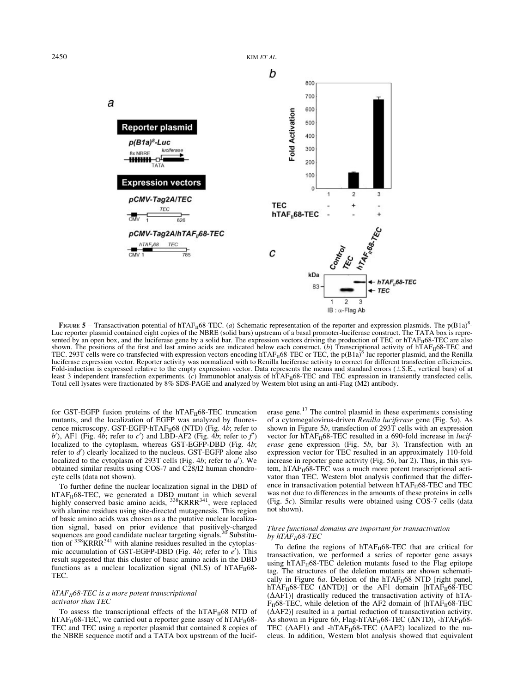$2450$  KIM *ET AL*.



FIGURE 5 – Transactivation potential of hTAF<sub>II</sub>68-TEC. (*a*) Schematic representation of the reporter and expression plasmids. The p(B1a)<sup>8</sup>-Luc reporter plasmid contained eight copies of the NBRE (solid bars) upstream of a basal promoter-luciferase construct. The TATA box is represented by an open box, and the luciferase gene by a solid bar. The expression vectors driving the production of TEC or hTAF $_{10}$ 68-TEC are also shown. The positions of the first and last amino acids are indicated below each construct. (b) Transcriptional activity of hTAF<sub>II</sub>68-TEC and<br>TEC. 293T cells were co-transfected with expression vectors encoding hTAF<sub>II</sub>68luciferase expression vector. Reporter activity was normalized with to Renilla luciferase activity to correct for different transfection efficiencies.<br>Fold-induction is expressed relative to the empty expression vector. D Fold-induction is expressed relative to the empty expression vector. Data represents the means and standard errors ( $\pm$ S.E., vertical bars) of at<br>least 3 independent transfection experiments. (c) Immunoblot analysis of h

for GST-EGFP fusion proteins of the hTAF $_H$ 68-TEC truncation mutants, and the localization of EGFP was analyzed by fluorescence microscopy. GST-EGFP-hTAF<sub>II</sub>68 (NTD) (Fig. 4b; refer to  $b'$ ), AF1 (Fig. 4b; refer to  $c'$ ) and LBD-AF2 (Fig. 4b; refer to  $f'$ ) localized to the cytoplasm, whereas GST-EGFP-DBD (Fig. 4b; refer to  $d'$ ) clearly localized to the nucleus. GST-EGFP alone also localized to the cytoplasm of 293T cells (Fig. 4b; refer to  $a'$ ). We obtained similar results using COS-7 and C28/I2 human chondrocyte cells (data not shown).

To further define the nuclear localization signal in the DBD of hTAF $_{II}$ 68-TEC, we generated a DBD mutant in which several highly conserved basic amino acids,  $^{338}$ KRR $^{341}$ , were replaced with alanine residues using site-directed mutagenesis. This region of basic amino acids was chosen as a the putative nuclear localization signal, based on prior evidence that positively-charged sequences are good candidate nuclear targeting signals.<sup>20</sup> Substitution of  $338$ KRRR $341$  with alanine residues resulted in the cytoplasmic accumulation of GST-EGFP-DBD (Fig. 4b; refer to  $e'$ ). This result suggested that this cluster of basic amino acids in the DBD functions as a nuclear localization signal (NLS) of  $hTAF_{II}68-$ TEC.

# $hTAF_{II}$ 68-TEC is a more potent transcriptional activator than TEC

To assess the transcriptional effects of the hTAF $_H$ 68 NTD of hTAF $_{II}$ 68-TEC, we carried out a reporter gene assay of hTAF $_{II}$ 68-TEC and TEC using a reporter plasmid that contained 8 copies of the NBRE sequence motif and a TATA box upstream of the luciferase gene. $17$  The control plasmid in these experiments consisting of a cytomegalovirus-driven Renilla luciferase gene (Fig. 5a). As shown in Figure 5b, transfection of 293T cells with an expression vector for hTAF $_{II}$ 68-TEC resulted in a 690-fold increase in *lucif*erase gene expression (Fig. 5b, bar 3). Transfection with an expression vector for TEC resulted in an approximately 110-fold increase in reporter gene activity (Fig.  $5b$ , bar 2). Thus, in this system,  $hTAF_{II}68-TEC$  was a much more potent transcriptional activator than TEC. Western blot analysis confirmed that the difference in transactivation potential between  $hTAF_{II}68-TEC$  and TEC was not due to differences in the amounts of these proteins in cells (Fig. 5c). Similar results were obtained using  $\overrightarrow{COS}$ -7 cells (data not shown).

# Three functional domains are important for transactivation by  $hTAF_{II}$ 68-TEC

To define the regions of  $hTAF_{II}68-TEC$  that are critical for transactivation, we performed a series of reporter gene assays using hTAF $_{II}$ 68-TEC deletion mutants fused to the Flag epitope tag. The structures of the deletion mutants are shown schematically in Figure 6a. Deletion of the hTAF $_H$ 68 NTD [right panel, hTAF<sub>II</sub>68-TEC ( $\triangle NTD$ )] or the AF1 domain [hTAF<sub>II</sub>68-TEC  $( \Delta AF1)$ ] drastically reduced the transactivation activity of hTA- $F_{II}$ 68-TEC, while deletion of the AF2 domain of [hTA $F_{II}$ 68-TEC  $( \Delta AF2)$ ] resulted in a partial reduction of transactivation activity. As shown in Figure 6b, Flag-hTAF $_{II}$ 68-TEC ( $\triangle NTD$ ), -hTAF $_{II}$ 68-TEC ( $\triangle$ AF1) and -hTAF<sub>II</sub>68-TEC ( $\triangle$ AF2) localized to the nucleus. In addition, Western blot analysis showed that equivalent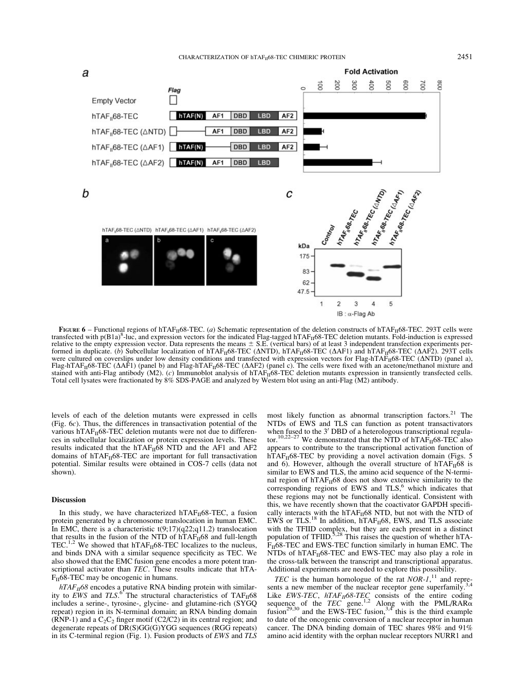

FIGURE  $6$  – Functional regions of hTAF $_{II}$ 68-TEC. (a) Schematic representation of the deletion constructs of hTAF $_{II}$ 68-TEC. 293T cells were transfected with  $p(B1a)^8$ -luc, and expression vectors for the indicated Flag-tagged hTAF $_{II}$ 68-TEC deletion mutants. Fold-induction is expressed relative to the empty expression vector. Data represents the means ± S.E. (vertical bars) of at least 3 independent transfection experiments per-<br>formed in duplicate. (b) Subcellular localization of hTAF<sub>II</sub>68-TEC (ΔNTD), were cultured on coverslips under low density conditions and transfected with expression vectors for Flag-hTAF $_{II}$ 68-TEC ( $\triangle$ NTD) (panel a), Flag-hTAF<sub>II</sub>68-TEC ( $\Delta$ AF1) (panel b) and Flag-hTAF<sub>II</sub>68-TEC ( $\Delta$ AF2) (panel c). The cells were fixed with an acetone/methanol mixture and stained with anti-Flag antibody  $(M2)$ . (c) Immunoblot analysis of hTAF $_H$ 68-TEC deletion mutants expression in transiently transfected cells. Total cell lysates were fractionated by 8% SDS-PAGE and analyzed by Western blot using an anti-Flag (M2) antibody.

levels of each of the deletion mutants were expressed in cells (Fig. 6c). Thus, the differences in transactivation potential of the various hTAF $_{II}$ 68-TEC deletion mutants were not due to differences in subcellular localization or protein expression levels. These results indicated that the hTAF $_{II}$ 68 NTD and the AF1 and AF2 domains of  $hTAF_{II}68-TEC$  are important for full transactivation potential. Similar results were obtained in COS-7 cells (data not shown).

## Discussion

In this study, we have characterized hTAF $_{II}$ 68-TEC, a fusion protein generated by a chromosome translocation in human EMC. In EMC, there is a characteristic  $t(9;17)(q22;q11.2)$  translocation that results in the fusion of the NTD of  $hTAF_{II}68$  and full-length TEC.<sup>1,2</sup> We showed that hTAF $_{II}$ 68-TEC localizes to the nucleus, and binds DNA with a similar sequence specificity as TEC. We also showed that the EMC fusion gene encodes a more potent transcriptional activator than TEC. These results indicate that hTA- $F_{II}$ 68-TEC may be oncogenic in humans.

 $hTAF_{II}$ 68 encodes a putative RNA binding protein with similarity to EWS and TLS.<sup>6</sup> The structural characteristics of TAF<sub>II</sub>68 includes a serine-, tyrosine-, glycine- and glutamine-rich (SYGQ repeat) region in its N-terminal domain; an RNA binding domain (RNP-1) and a  $C_2C_2$  finger motif (C2/C2) in its central region; and degenerate repeats of DR(S)GG(G)YGG sequences (RGG repeats) in its C-terminal region (Fig. 1). Fusion products of EWS and TLS

most likely function as abnormal transcription factors.<sup>21</sup> The NTDs of EWS and TLS can function as potent transactivators when fused to the 3' DBD of a heterologous transcriptional regulator.<sup>10,22–27</sup> We demonstrated that the NTD of hTAF<sub>II</sub>68-TEC also appears to contribute to the transcriptional activation function of  $hTAF_{II}68-TEC$  by providing a novel activation domain (Figs. 5) and 6). However, although the overall structure of  $hTAF_{II}68$  is similar to EWS and TLS, the amino acid sequence of the N-terminal region of  $hTAF_{II}68$  does not show extensive similarity to the corresponding regions of EWS and TLS,<sup>6</sup> which indicates that these regions may not be functionally identical. Consistent with this, we have recently shown that the coactivator GAPDH specifically interacts with the  $hTAF_{II}68$  NTD, but not with the NTD of EWS or TLS.<sup>18</sup> In addition,  $hTAF_{II}68$ , EWS, and TLS associate with the TFIID complex, but they are each present in a distinct population of TFIID.<sup>5,28</sup> This raises the question of whether hTA- $F_{II}$ 68-TEC and EWS-TEC function similarly in human EMC. The NTDs of  $hTAF_{II}68-TEC$  and EWS-TEC may also play a role in the cross-talk between the transcript and transcriptional apparatus. Additional experiments are needed to explore this possibility.

TEC is the human homologue of the rat  $NOR-I$ ,<sup>11</sup> and represents a new member of the nuclear receptor gene superfamily.<sup>3</sup> Like *EWS-TEC*,  $hTAF_H68-TEC$  consists of the entire coding sequence of the *TEC* gene.<sup>1,2</sup> Along with the PML/RAR $\alpha$  fusion<sup>29,30</sup> and the EWS-TEC fusion,<sup>3,4</sup> this is the third example to date of the oncogenic conversion of a nuclear receptor in human cancer. The DNA binding domain of TEC shares 98% and 91% amino acid identity with the orphan nuclear receptors NURR1 and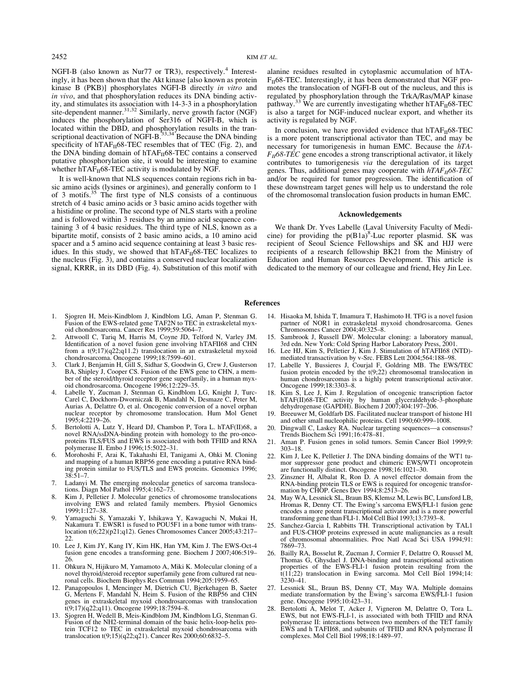NGFI-B (also known as Nur77 or TR3), respectively.<sup>4</sup> Interestingly, it has been shown that the Akt kinase [also known as protein kinase B (PKB)] phosphorylates NGFI-B directly in vitro and in vivo, and that phosphorylation reduces its DNA binding activity, and stimulates its association with 14-3-3 in a phosphorylation site-dependent manner.<sup>31,32</sup> Similarly, nerve growth factor (NGF) induces the phosphorylation of Ser316 of NGFI-B, which is located within the DBD, and phosphorylation results in the tran-<br>scriptional deactivation of NGFI-B.<sup>33,34</sup> Because the DNA binding specificity of hTAF $_H$ 68-TEC resembles that of TEC (Fig. 2), and the DNA binding domain of  $hTAF_{II}68-TEC$  contains a conserved putative phosphorylation site, it would be interesting to examine whether  $\bar{h}TAF_{II}68-TEC$  activity is modulated by NGF.

It is well-known that NLS sequences contain regions rich in basic amino acids (lysines or arginines), and generally conform to 1 of 3 motifs.<sup>35</sup> The first type of NLS consists of a continuous stretch of 4 basic amino acids or 3 basic amino acids together with a histidine or proline. The second type of NLS starts with a proline and is followed within 3 residues by an amino acid sequence containing 3 of 4 basic residues. The third type of NLS, known as a bipartite motif, consists of 2 basic amino acids, a 10 amino acid spacer and a 5 amino acid sequence containing at least 3 basic residues. In this study, we showed that  $hTAF_{II}68-TEC$  localizes to the nucleus (Fig. 3), and contains a conserved nuclear localization signal, KRRR, in its DBD (Fig. 4). Substitution of this motif with

- 1. Sjogren H, Meis-Kindblom J, Kindblom LG, Aman P, Stenman G. Fusion of the EWS-related gene TAF2N to TEC in extraskeletal myxoid chondrosarcoma. Cancer Res 1999;59:5064–7.
- 2. Attwooll C, Tariq M, Harris M, Coyne JD, Telford N, Varley JM. Identification of a novel fusion gene involving hTAFII68 and CHN from a t(9;17)(q22;q11.2) translocation in an extraskeletal myxoid chondrosarcoma. Oncogene 1999;18:7599–601.
- 3. Clark J, Benjamin H, Gill S, Sidhar S, Goodwin G, Crew J, Gusterson BA, Shipley J, Cooper CS. Fusion of the EWS gene to CHN, a member of the steroid/thyroid receptor gene superfamily, in a human myx-oid chondrosarcoma. Oncogene 1996;12:229–35.
- Labelle Y, Zucman J, Stenman G, Kindblom LG, Knight J, Turc-Carel C, Dockhorn-Dworniczak B, Mandahl N, Desmaze C, Peter M, Aurias A, Delattre O, et al. Oncogenic conversion of a novel orphan nuclear receptor by chromosome translocation. Hum Mol Genet 1995;4:2219–26.
- 5. Bertolotti A, Lutz Y, Heard DJ, Chambon P, Tora L. hTAF(II)68, a novel RNA/ssDNA-binding protein with homology to the pro-oncoproteins TLS/FUS and EWS is associated with both TFIID and RNA polymerase II. Embo J 1996;15:5022–31.
- 6. Morohoshi F, Arai K, Takahashi EI, Tanigami A, Ohki M. Cloning and mapping of a human RBP56 gene encoding a putative RNA binding protein similar to FUS/TLS and EWS proteins. Genomics 1996; 38:51–7.
- 7. Ladanyi M. The emerging molecular genetics of sarcoma translocations. Diagn Mol Pathol 1995;4:162–73.
- 8. Kim J, Pelletier J. Molecular genetics of chromosome translocations involving EWS and related family members. Physiol Genomics 1999;1:127–38.
- 9. Yamaguchi S, Yamazaki Y, Ishikawa Y, Kawaguchi N, Mukai H, Nakamura T. EWSR1 is fused to POU5F1 in a bone tumor with translocation t(6;22)(p21;q12). Genes Chromosomes Cancer 2005;43:217– 22.
- 10. Lee J, Kim JY, Kang IY, Kim HK, Han YM, Kim J. The EWS-Oct-4 fusion gene encodes a transforming gene. Biochem J 2007;406:519– 26.
- 11. Ohkura N, Hijikuro M, Yamamoto A, Miki K. Molecular cloning of a novel thyroid/steroid receptor superfamily gene from cultured rat neuronal cells. Biochem Biophys Res Commun 1994;205:1959–65.
- 12. Panagopoulos I, Mencinger M, Dietrich CU, Bjerkehagen B, Saeter G, Mertens F, Mandahl N, Heim S. Fusion of the RBP56 and CHN genes in extraskeletal myxoid chondrosarcomas with translocation t(9;17)(q22;q11). Oncogene 1999;18:7594–8.
- 13. Sjogren H, Wedell B, Meis-Kindblom JM, Kindblom LG, Stenman G. Fusion of the NH2-terminal domain of the basic helix-loop-helix protein TCF12 to TEC in extraskeletal myxoid chondrosarcoma with translocation t(9;15)(q22;q21). Cancer Res 2000;60:6832–5.

alanine residues resulted in cytoplasmic accumulation of hTA- $F_{II}$ 68-TEC. Interestingly, it has been demonstrated that NGF promotes the translocation of NGFI-B out of the nucleus, and this is regulated by phosphorylation through the TrkA/Ras/MAP kinase<br>pathway.<sup>33</sup> We are currently investigating whether hTAF<sub>II</sub>68-TEC is also a target for NGF-induced nuclear export, and whether its activity is regulated by NGF.

In conclusion, we have provided evidence that  $hTAF_{II}68-TEC$ is a more potent transcriptional activator than TEC, and may be necessary for tumorigenesis in human EMC. Because the hTA- $F_{II}$ 68-TEC gene encodes a strong transcriptional activator, it likely contributes to tumorigenesis via the deregulation of its target genes. Thus, additional genes may cooperate with  $hTAF_{II}68-TEC$ and/or be required for tumor progression. The identification of these downstream target genes will help us to understand the role of the chromosomal translocation fusion products in human EMC.

# Acknowledgements

We thank Dr. Yves Labelle (Laval University Faculty of Medicine) for providing the  $p(B1a)^8$ -Luc reporter plasmid. SK was recipient of Seoul Science Fellowships and SK and HJJ were recipients of a research fellowship BK21 from the Ministry of Education and Human Resources Development. This article is dedicated to the memory of our colleague and friend, Hey Jin Lee.

#### References

- 14. Hisaoka M, Ishida T, Imamura T, Hashimoto H. TFG is a novel fusion partner of NOR1 in extraskeletal myxoid chondrosarcoma. Genes Chromosomes Cancer 2004;40:325–8.
- 15. Sambrook J, Russell DW. Molecular cloning: a laboratory manual, 3rd edn. New York: Cold Spring Harbor Laboratory Press, 2001.
- 16. Lee HJ, Kim S, Pelletier J, Kim J. Stimulation of hTAFII68 (NTD) mediated transactivation by v-Src. FEBS Lett 2004;564:188–98.
- 17. Labelle Y, Bussieres J, Courjal F, Goldring MB. The EWS/TEC fusion protein encoded by the t(9;22) chromosomal translocation in human chondrosarcomas is a highly potent transcriptional activator. Oncogene 1999;18:3303–8.
- 18. Kim S, Lee J, Kim J. Regulation of oncogenic transcription factor hTAF(II)68-TEC activity by human glyceraldehyde-3-phosphate dehydrogenase (GAPDH). Biochem J 2007;404:197–206.
- 19. Breeuwer M, Goldfarb DS. Facilitated nuclear transport of histone H1 and other small nucleophilic proteins. Cell 1990;60:999–1008.
- 20. Dingwall C, Laskey RA. Nuclear targeting sequences––a consensus? Trends Biochem Sci 1991;16:478–81.
- 21. Aman P. Fusion genes in solid tumors. Semin Cancer Biol 1999;9: 303–18.
- 22. Kim J, Lee K, Pelletier J. The DNA binding domains of the WT1 tumor suppressor gene product and chimeric EWS/WT1 oncoprotein are functionally distinct. Oncogene 1998;16:1021–30.
- 23. Zinszner H, Albalat R, Ron D. A novel effector domain from the RNA-binding protein TLS or EWS is required for oncogenic transformation by CHOP. Genes Dev 1994;8:2513–26.
- 24. May WA, Lessnick SL, Braun BS, Klemsz M, Lewis BC, Lunsford LB, Hromas R, Denny CT. The Ewing's sarcoma EWS/FLI-1 fusion gene encodes a more potent transcriptional activator and is a more powerful transforming gene than FLI-1. Mol Cell Biol 1993;13:7393–8.
- 25. Sanchez-Garcia I, Rabbitts TH. Transcriptional activation by TAL1 and FUS-CHOP proteins expressed in acute malignancies as a result of chromosomal abnormalities. Proc Natl Acad Sci USA 1994;91: 7869–73.
- 26. Bailly RA, Bosselut R, Zucman J, Cormier F, Delattre O, Roussel M, Thomas G, Ghysdael J. DNA-binding and transcriptional activation properties of the EWS-FLI-1 fusion protein resulting from the t(11;22) translocation in Ewing sarcoma. Mol Cell Biol 1994;14: 3230–41.
- 27. Lessnick SL, Braun BS, Denny CT, May WA. Multiple domains mediate transformation by the Ewing's sarcoma EWS/FLI-1 fusion gene. Oncogene 1995;10:423–31.
- 28. Bertolotti A, Melot T, Acker J, Vigneron M, Delattre O, Tora L. EWS, but not EWS-FLI-1, is associated with both TFIID and RNA polymerase II: interactions between two members of the TET family EWS and h TAFII68, and subunits of TFIID and RNA polymerase II complexes. Mol Cell Biol 1998;18:1489–97.